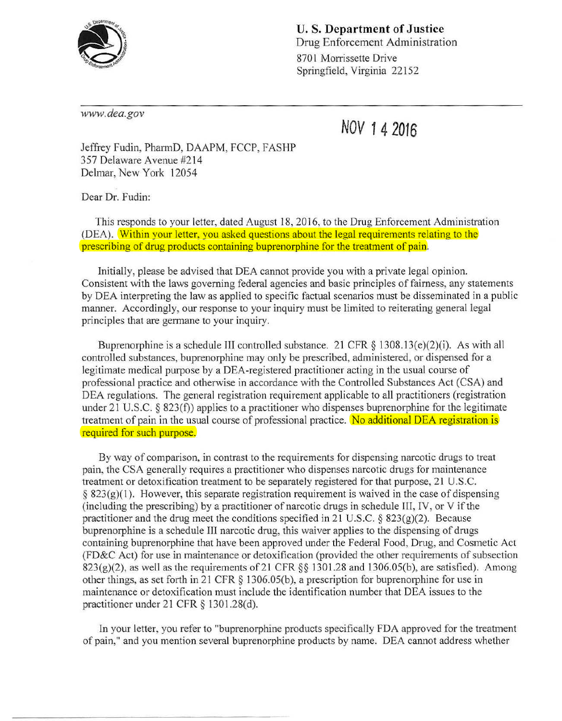

U. S. **Department of Justice**  Drug Enforcement Administration 8701 Morrissette Drive Springfield, Virginia 22152

*www. dea.gov* 

**NOV 14 2016** 

Jeffrey Fudin, PharmD, DAAPM, FCCP, FASHP 357 Delaware Avenue #2 14 Delmar, New York 12054

Dear Dr. Fudin:

This responds to your letter, dated August 18, 2016, to the Drug Enforcement Administration (DEA). Within your letter, you asked questions about the legal requirements relating to the prescribing of drug products containing buprenorphine for the treatment of pain.

Initially, please be advised that DEA cannot provide you with a private legal opinion. Consistent with the laws governing federal agencies and basic principles of fairness, any statements by DEA interpreting the law as applied to specific factual scenarios must be disseminated in a public manner. Accordingly, our response to your inquiry must be limited to reiterating general legal principles that are germane to your inquiry.

Buprenorphine is a schedule III controlled substance. 21 CFR  $\S$  1308.13(e)(2)(i). As with all controlled substances, buprenorphine may only be prescribed, administered, or dispensed for a legitimate medical purpose by a DEA-registered practitioner acting in the usual course of professional practice and otherwise in accordance with the Controlled Substances Act (CSA) and DEA regulations. The general registration requirement applicable to all practitioners (registration under 21 U.S.C.  $\S$  823(f)) applies to a practitioner who dispenses buprenorphine for the legitimate treatment of pain in the usual course of professional practice. No additional DEA registration is required for such purpose.

By way of comparison, in contrast to the requirements for dispensing narcotic drugs to treat pain, the CSA generally requires a practitioner who dispenses narcotic drugs for maintenance treatment or detoxification treatment to be separately registered for that purpose, 21 U.S.C.  $\S$  823(g)(1). However, this separate registration requirement is waived in the case of dispensing (including the prescribing) by a practitioner of narcotic drugs in schedule III, IV, or V if the practitioner and the drug meet the conditions specified in 21 U.S.C. § 823(g)(2). Because buprenorphine is a schedule III narcotic drug, this waiver applies to the dispensing of drugs containing buprenorphine that have been approved under the Federal Food, Drug, and Cosmetic Act (FD&C Act) for use in maintenance or detoxification (provided the other requirements of subsection  $823(g)(2)$ , as well as the requirements of 21 CFR §§ 1301.28 and 1306.05(b), are satisfied). Among other things, as set forth in 21 CFR § 1306.05(b ), a prescription for buprenorphine for use in maintenance or detoxification must include the identification number that DEA issues to the practitioner under 21 CFR § 1301.28(d).

In your letter, you refer to "buprenorphine products specifically FDA approved for the treatment of pain," and you mention several buprenorphine products by name. DEA cannot address whether